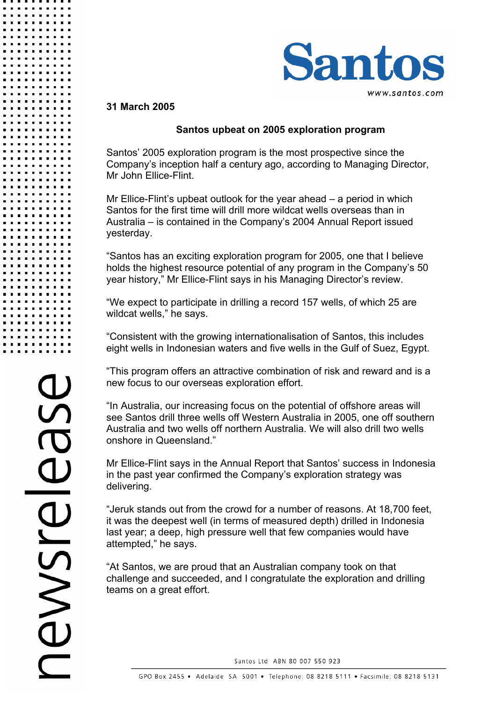

## **31 March 2005**

## **Santos upbeat on 2005 exploration program**

Santos' 2005 exploration program is the most prospective since the Company's inception half a century ago, according to Managing Director, Mr John Ellice-Flint.

Mr Ellice-Flint's upbeat outlook for the year ahead – a period in which Santos for the first time will drill more wildcat wells overseas than in Australia – is contained in the Company's 2004 Annual Report issued yesterday.

"Santos has an exciting exploration program for 2005, one that I believe holds the highest resource potential of any program in the Company's 50 year history," Mr Ellice-Flint says in his Managing Director's review.

"We expect to participate in drilling a record 157 wells, of which 25 are wildcat wells," he says.

"Consistent with the growing internationalisation of Santos, this includes eight wells in Indonesian waters and five wells in the Gulf of Suez, Egypt.

"This program offers an attractive combination of risk and reward and is a new focus to our overseas exploration effort.

"In Australia, our increasing focus on the potential of offshore areas will see Santos drill three wells off Western Australia in 2005, one off southern Australia and two wells off northern Australia. We will also drill two wells onshore in Queensland."

Mr Ellice-Flint says in the Annual Report that Santos' success in Indonesia in the past year confirmed the Company's exploration strategy was delivering.

"Jeruk stands out from the crowd for a number of reasons. At 18,700 feet, it was the deepest well (in terms of measured depth) drilled in Indonesia last year; a deep, high pressure well that few companies would have attempted," he says.

"At Santos, we are proud that an Australian company took on that challenge and succeeded, and I congratulate the exploration and drilling teams on a great effort.

Santos Ltd ABN 80 007 550 923